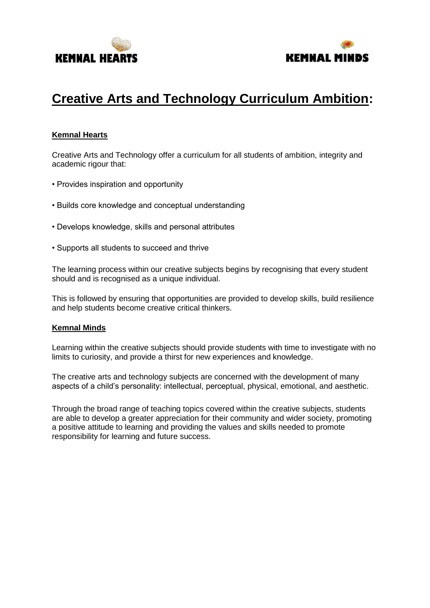



# **Creative Arts and Technology Curriculum Ambition:**

### **Kemnal Hearts**

Creative Arts and Technology offer a curriculum for all students of ambition, integrity and academic rigour that:

- Provides inspiration and opportunity
- Builds core knowledge and conceptual understanding
- Develops knowledge, skills and personal attributes
- Supports all students to succeed and thrive

The learning process within our creative subjects begins by recognising that every student should and is recognised as a unique individual.

This is followed by ensuring that opportunities are provided to develop skills, build resilience and help students become creative critical thinkers.

#### **Kemnal Minds**

Learning within the creative subjects should provide students with time to investigate with no limits to curiosity, and provide a thirst for new experiences and knowledge.

The creative arts and technology subjects are concerned with the development of many aspects of a child's personality: intellectual, perceptual, physical, emotional, and aesthetic.

Through the broad range of teaching topics covered within the creative subjects, students are able to develop a greater appreciation for their community and wider society, promoting a positive attitude to learning and providing the values and skills needed to promote responsibility for learning and future success.